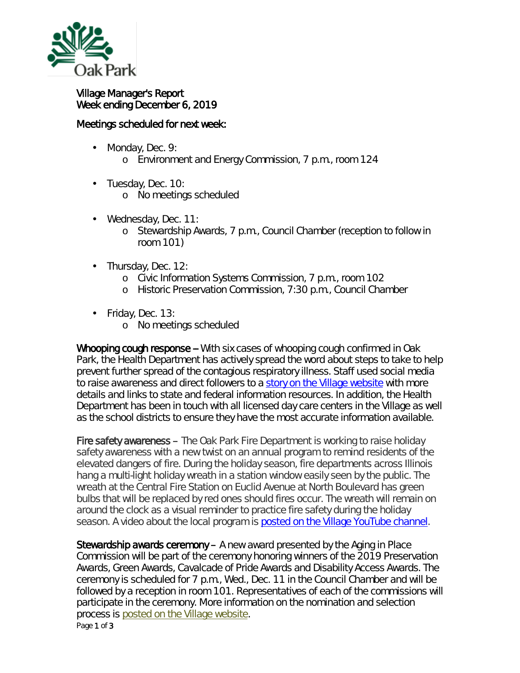

## Village Manager's Report Week ending December 6, 2019

## Meetings scheduled for next week:

Monday, Dec. 9: ä,

o Environment and Energy Commission, 7 p.m., room 124

- ä, Tuesday, Dec. 10: o No meetings scheduled
- Wednesday, Dec. 11: ä,
	- o Stewardship Awards, 7 p.m., Council Chamber (reception to follow in room 101)
- Thursday, Dec. 12:
	- o Civic Information Systems Commission, 7 p.m., room 102
	- o Historic Preservation Commission, 7:30 p.m., Council Chamber
- Friday, Dec. 13:
	- o No meetings scheduled

Whooping cough response -- With six cases of whooping cough confirmed in Oak Park, the Health Department has actively spread the word about steps to take to help prevent further spread of the contagious respiratory illness. Staff used social media to raise awareness and direct followers to a [story on the Village website](https://www.oak-park.us/news/whooping-cough-cases-prompt-public-health-response) with more details and links to state and federal information resources. In addition, the Health Department has been in touch with all licensed day care centers in the Village as well as the school districts to ensure they have the most accurate information available.

Fire safety awareness – The Oak Park Fire Department is working to raise holiday safety awareness with a new twist on an annual program to remind residents of the elevated dangers of fire. During the holiday season, fire departments across Illinois hang a multi-light holiday wreath in a station window easily seen by the public. The wreath at the Central Fire Station on Euclid Avenue at North Boulevard has green bulbs that will be replaced by red ones should fires occur. The wreath will remain on around the clock as a visual reminder to practice fire safety during the holiday season. A video about the local program is [posted on the Village](https://youtu.be/ZzCf4vx2KU4) YouTube channel.

Stewardship awards ceremony – A new award presented by the Aging in Place Commission will be part of the ceremony honoring winners of the 2019 Preservation Awards, Green Awards, Cavalcade of Pride Awards and Disability Access Awards. The ceremony is scheduled for 7 p.m., Wed., Dec. 11 in the Council Chamber and will be followed by a reception in room 101. Representatives of each of the commissions will participate in the ceremony. More information on the nomination and selection process is [posted on the Village website.](https://www.oak-park.us/news/nominations-sought-community-awards-1)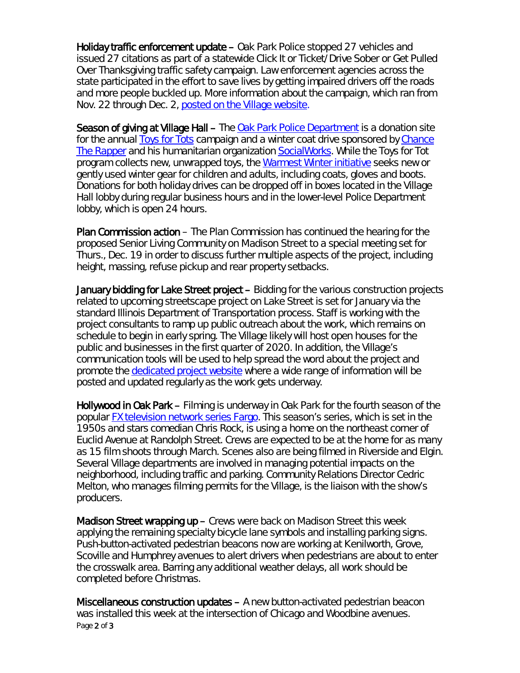Holiday traffic enforcement update – Oak Park Police stopped 27 vehicles and issued 27 citations as part of a statewide *Click It or Ticket/Drive Sober or Get Pulled Over* Thanksgiving traffic safety campaign. Law enforcement agencies across the state participated in the effort to save lives by getting impaired drivers off the roads and more people buckled up. More information about the campaign, which ran from Nov. 22 through Dec. 2, [posted on the Village website.](https://www.oak-park.us/news/oak-park-police-announce-thanksgiving-click-it-or-ticket-campaign-results)

Season of giving at Village Hall – The [Oak Park Police Department](https://www.oak-park.us/village-services/police-department) is a donation site for the annual **Toys for Tots** campaign and a winter coat drive sponsored by Chance [The Rapper](https://www.facebook.com/chancetherapper/?__tn__=K-R&eid=ARAkANUxrfBDh8wqox1sGMwanjAhSQhtDaq4FqSOJjAG-bt_UNn3kG1gQY2rpep5dzptZFWptwfPiNXq&fref=mentions&__xts__%5B0%5D=68.ARDreRSNaOpYSrnIJJ8l-KbflIdqn6vSvyTR53b9xqgWVCs1UQYtEDcPSDjIoUC9vO7LREhtDVD58OLg0WMZJ4P0VfVy8GmdRCBYrdYDLLtH1l6uUp9LiqCUP_mxc9B7F7n4Rvtrby_ziVJdxDtdmJBaMRLd8kOpvqkohlRZDeRhlLN-WVVrrd5qrOqpZuxXrrDl6MDzSwAIiU3tl_yPf8FTufJXGTb-ZzcB-YnKUkBC-_rOUl2kvoYcld4Z9YEFVU2Uvdl6eqFxsMJBGLTo2c5pBlYqGJs-kfhrpm0TvxZPEbSiKOptRZL5kpHaqSe8dnOflgE0qxmQtSqJmQ) and his humanitarian organization [SocialWorks.](https://www.socialworkschi.org/) While the Toys for Tot program collects new, unwrapped toys, the [Warmest Winter initiative](https://www.socialworkschi.org/initiatives/warmest-winter/) seeks new or gently used winter gear for children and adults, including coats, gloves and boots. Donations for both holiday drives can be dropped off in boxes located in the Village Hall lobby during regular business hours and in the lower-level Police Department lobby, which is open 24 hours.

Plan Commission action – The Plan Commission has continued the hearing for the proposed Senior Living Community on Madison Street to a special meeting set for Thurs., Dec. 19 in order to discuss further multiple aspects of the project, including height, massing, refuse pickup and rear property setbacks.

January bidding for Lake Street project – Bidding for the various construction projects related to upcoming streetscape project on Lake Street is set for January via the standard Illinois Department of Transportation process. Staff is working with the project consultants to ramp up public outreach about the work, which remains on schedule to begin in early spring. The Village likely will host open houses for the public and businesses in the first quarter of 2020. In addition, the Village's communication tools will be used to help spread the word about the project and promote the [dedicated project website](https://betterlakestreet.com/) where a wide range of information will be posted and updated regularly as the work gets underway.

Hollywood in Oak Park – Filming is underway in Oak Park for the fourth season of the popular [FX television network series Fargo.](https://www.fxnetworks.com/shows/fargo) This season's series, which is set in the 1950s and stars comedian Chris Rock, is using a home on the northeast corner of Euclid Avenue at Randolph Street. Crews are expected to be at the home for as many as 15 film shoots through March. Scenes also are being filmed in Riverside and Elgin. Several Village departments are involved in managing potential impacts on the neighborhood, including traffic and parking. Community Relations Director Cedric Melton, who manages filming permits for the Village, is the liaison with the show's producers.

**Madison Street wrapping up – Crews were back on Madison Street this week** applying the remaining specialty bicycle lane symbols and installing parking signs. Push-button-activated pedestrian beacons now are working at Kenilworth, Grove, Scoville and Humphrey avenues to alert drivers when pedestrians are about to enter the crosswalk area. Barring any additional weather delays, all work should be completed before Christmas.

Page 2 of 3 Miscellaneous construction updates – A new button-activated pedestrian beacon was installed this week at the intersection of Chicago and Woodbine avenues.